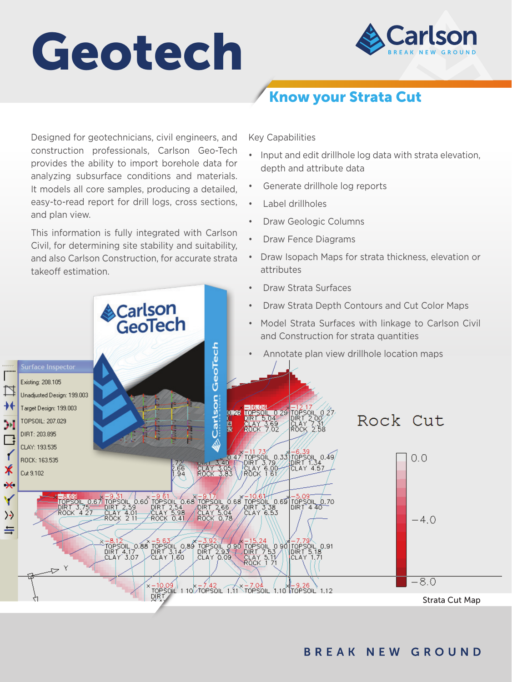# Geotech



# Know your Strata Cut

Designed for geotechnicians, civil engineers, and construction professionals, Carlson Geo-Tech provides the ability to import borehole data for analyzing subsurface conditions and materials. It models all core samples, producing a detailed, easy-to-read report for drill logs, cross sections, and plan view.

This information is fully integrated with Carlson Civil, for determining site stability and suitability, and also Carlson Construction, for accurate strata takeoff estimation.

Key Capabilities

- Input and edit drillhole log data with strata elevation, depth and attribute data
- Generate drillhole log reports
- Label drillholes
- Draw Geologic Columns
- Draw Fence Diagrams
- Draw Isopach Maps for strata thickness, elevation or attributes
- Draw Strata Surfaces
- Draw Strata Depth Contours and Cut Color Maps